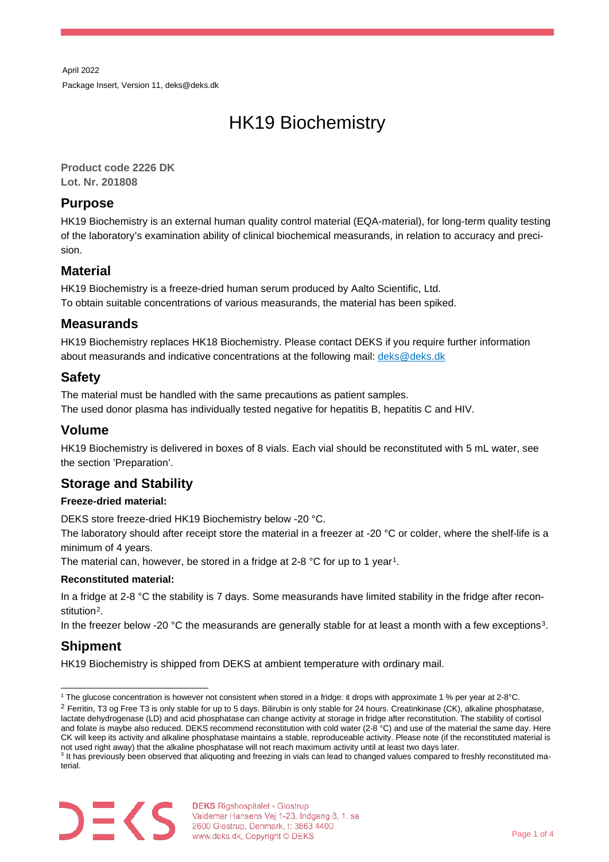April 2022 Package Insert, Version 11, deks@deks.dk

# HK19 Biochemistry

**Product code 2226 DK Lot. Nr. 201808**

# **Purpose**

HK19 Biochemistry is an external human quality control material (EQA-material), for long-term quality testing of the laboratory's examination ability of clinical biochemical measurands, in relation to accuracy and precision.

# **Material**

HK19 Biochemistry is a freeze-dried human serum produced by Aalto Scientific, Ltd. To obtain suitable concentrations of various measurands, the material has been spiked.

### **Measurands**

HK19 Biochemistry replaces HK18 Biochemistry. Please contact DEKS if you require further information about measurands and indicative concentrations at the following mail: [deks@deks.dk](mailto:deks@deks.dk)

# **Safety**

The material must be handled with the same precautions as patient samples.

The used donor plasma has individually tested negative for hepatitis B, hepatitis C and HIV.

# **Volume**

HK19 Biochemistry is delivered in boxes of 8 vials. Each vial should be reconstituted with 5 mL water, see the section 'Preparation'.

# **Storage and Stability**

### **Freeze-dried material:**

DEKS store freeze-dried HK19 Biochemistry below -20 °C.

The laboratory should after receipt store the material in a freezer at -20 °C or colder, where the shelf-life is a minimum of 4 years.

The material can, however, be stored in a fridge at 2-8  $^{\circ}$ C for up to 1 year<sup>1</sup>.

#### **Reconstituted material:**

In a fridge at 2-8 °C the stability is 7 days. Some measurands have limited stability in the fridge after recon-stitution<sup>[2](#page-0-1)</sup>.

In the freezer below -20 °C the measurands are generally stable for at least a month with a few exceptions<sup>[3](#page-0-2)</sup>.

# **Shipment**

HK19 Biochemistry is shipped from DEKS at ambient temperature with ordinary mail.

<span id="page-0-1"></span><sup>2</sup> Ferritin, T3 og Free T3 is only stable for up to 5 days. Bilirubin is only stable for 24 hours. Creatinkinase (CK), alkaline phosphatase, lactate dehydrogenase (LD) and acid phosphatase can change activity at storage in fridge after reconstitution. The stability of cortisol and folate is maybe also reduced. DEKS recommend reconstitution with cold water (2-8 °C) and use of the material the same day. Here CK will keep its activity and alkaline phosphatase maintains a stable, reproduceable activity. Please note (if the reconstituted material is not used right away) that the alkaline phosphatase will not reach maximum activity until at least two days later.

<span id="page-0-2"></span><sup>&</sup>lt;sup>3</sup> It has previously been observed that aliquoting and freezing in vials can lead to changed values compared to freshly reconstituted material.



<span id="page-0-0"></span><sup>1</sup> The glucose concentration is however not consistent when stored in a fridge: it drops with approximate 1 % per year at 2-8°C.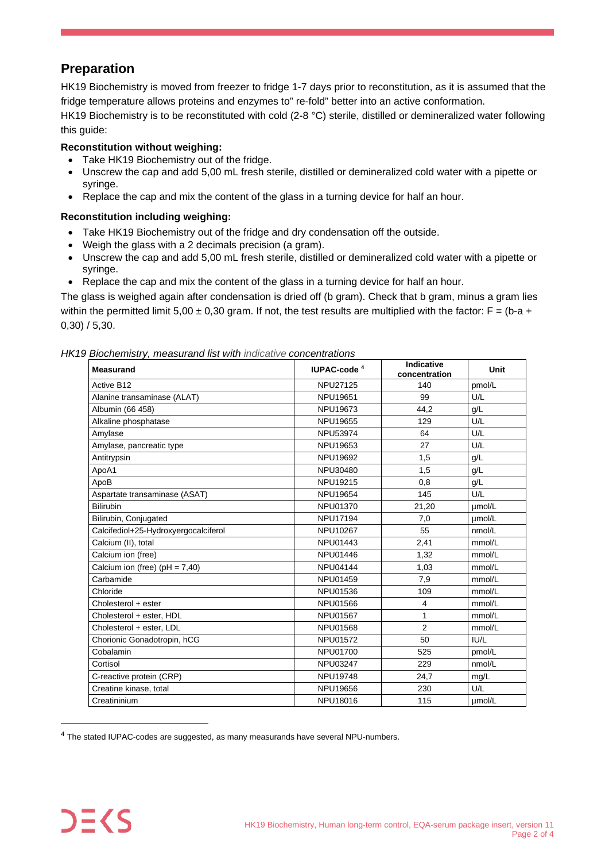# **Preparation**

HK19 Biochemistry is moved from freezer to fridge 1-7 days prior to reconstitution, as it is assumed that the fridge temperature allows proteins and enzymes to" re-fold" better into an active conformation.

HK19 Biochemistry is to be reconstituted with cold (2-8 °C) sterile, distilled or demineralized water following this guide:

#### **Reconstitution without weighing:**

- Take HK19 Biochemistry out of the fridge.
- Unscrew the cap and add 5,00 mL fresh sterile, distilled or demineralized cold water with a pipette or syringe.
- Replace the cap and mix the content of the glass in a turning device for half an hour.

#### **Reconstitution including weighing:**

- Take HK19 Biochemistry out of the fridge and dry condensation off the outside.
- Weigh the glass with a 2 decimals precision (a gram).
- Unscrew the cap and add 5,00 mL fresh sterile, distilled or demineralized cold water with a pipette or syringe.
- Replace the cap and mix the content of the glass in a turning device for half an hour.

The glass is weighed again after condensation is dried off (b gram). Check that b gram, minus a gram lies within the permitted limit 5,00  $\pm$  0,30 gram. If not, the test results are multiplied with the factor: F = (b-a + 0,30) / 5,30.

|  |  | HK19 Biochemistry, measurand list with indicative concentrations |
|--|--|------------------------------------------------------------------|
|  |  |                                                                  |

| <b>Measurand</b>                     | <b>IUPAC-code</b> <sup>4</sup> | Indicative<br>concentration | Unit   |
|--------------------------------------|--------------------------------|-----------------------------|--------|
| Active B12                           | <b>NPU27125</b>                | 140                         | pmol/L |
| Alanine transaminase (ALAT)          | NPU19651                       | 99                          | U/L    |
| Albumin (66 458)                     | NPU19673                       | 44,2                        | g/L    |
| Alkaline phosphatase                 | NPU19655                       | 129                         | U/L    |
| Amylase                              | <b>NPU53974</b>                | 64                          | U/L    |
| Amylase, pancreatic type             | NPU19653                       | 27                          | U/L    |
| Antitrypsin                          | NPU19692                       | 1,5                         | g/L    |
| ApoA1                                | NPU30480                       | 1,5                         | g/L    |
| ApoB                                 | NPU19215                       | 0.8                         | g/L    |
| Aspartate transaminase (ASAT)        | NPU19654                       | 145                         | U/L    |
| <b>Bilirubin</b>                     | NPU01370                       | 21,20                       | µmol/L |
| Bilirubin, Conjugated                | <b>NPU17194</b>                | 7,0                         | umol/L |
| Calcifediol+25-Hydroxyergocalciferol | NPU10267                       | 55                          | nmol/L |
| Calcium (II), total                  | NPU01443                       | 2,41                        | mmol/L |
| Calcium ion (free)                   | NPU01446                       | 1,32                        | mmol/L |
| Calcium ion (free) (pH = $7,40$ )    | <b>NPU04144</b>                | 1,03                        | mmol/L |
| Carbamide                            | NPU01459                       | 7,9                         | mmol/L |
| Chloride                             | NPU01536                       | 109                         | mmol/L |
| Cholesterol + ester                  | NPU01566                       | 4                           | mmol/L |
| Cholesterol + ester, HDL             | NPU01567                       | 1                           | mmol/L |
| Cholesterol + ester, LDL             | NPU01568                       | $\overline{2}$              | mmol/L |
| Chorionic Gonadotropin, hCG          | NPU01572                       | 50                          | IU/L   |
| Cobalamin                            | NPU01700                       | 525                         | pmol/L |
| Cortisol                             | NPU03247                       | 229                         | nmol/L |
| C-reactive protein (CRP)             | <b>NPU19748</b>                | 24,7                        | mg/L   |
| Creatine kinase, total               | NPU19656                       | 230                         | U/L    |
| Creatininium                         | NPU18016                       | 115                         | umol/L |

<span id="page-1-0"></span><sup>4</sup> The stated IUPAC-codes are suggested, as many measurands have several NPU-numbers.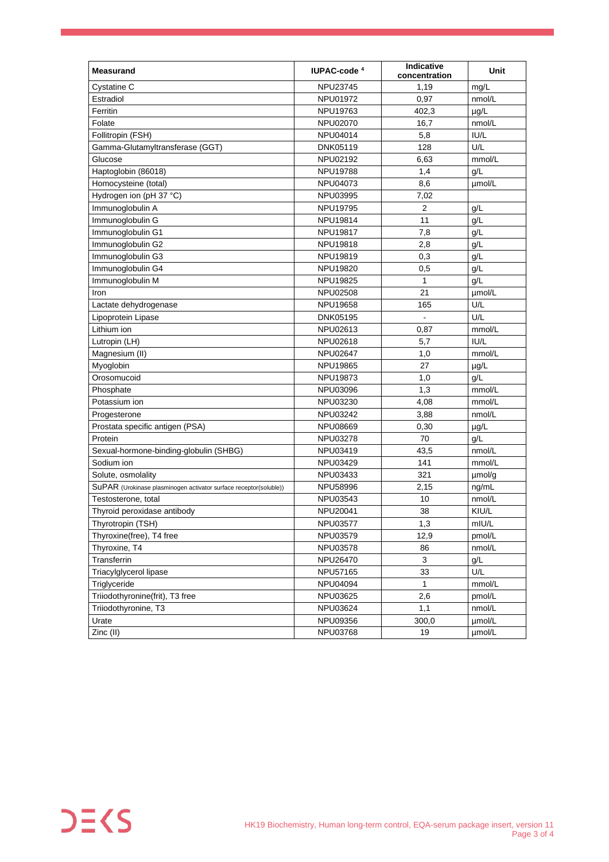| <b>Measurand</b>                                                  | IUPAC-code <sup>4</sup> | Indicative<br>concentration | Unit      |
|-------------------------------------------------------------------|-------------------------|-----------------------------|-----------|
| <b>Cystatine C</b>                                                | NPU23745                | 1,19                        | mg/L      |
| Estradiol                                                         | NPU01972                | 0,97                        | nmol/L    |
| Ferritin                                                          | NPU19763                | 402,3                       | µg/L      |
| Folate                                                            | NPU02070                | 16,7                        | nmol/L    |
| Follitropin (FSH)                                                 | NPU04014                | 5,8                         | IU/L      |
| Gamma-Glutamyltransferase (GGT)                                   | DNK05119                | 128                         | U/L       |
| Glucose                                                           | NPU02192                | 6,63                        | mmol/L    |
| Haptoglobin (86018)                                               | NPU19788                | 1,4                         | g/L       |
| Homocysteine (total)                                              | NPU04073                | 8,6                         | umol/L    |
| Hydrogen ion (pH 37 °C)                                           | NPU03995                | 7,02                        |           |
| Immunoglobulin A                                                  | NPU19795                | 2                           | g/L       |
| Immunoglobulin G                                                  | NPU19814                | 11                          | g/L       |
| Immunoglobulin G1                                                 | NPU19817                | 7,8                         | g/L       |
| Immunoglobulin G2                                                 | NPU19818                | 2,8                         | g/L       |
| Immunoglobulin G3                                                 | NPU19819                | 0,3                         | g/L       |
| Immunoglobulin G4                                                 | NPU19820                | 0,5                         | g/L       |
| Immunoglobulin M                                                  | NPU19825                | 1                           | g/L       |
| Iron                                                              | <b>NPU02508</b>         | 21                          | umol/L    |
| Lactate dehydrogenase                                             | NPU19658                | 165                         | U/L       |
| Lipoprotein Lipase                                                | DNK05195                |                             | U/L       |
| Lithium ion                                                       | NPU02613                | 0,87                        | mmol/L    |
| Lutropin (LH)                                                     | NPU02618                | 5,7                         | IU/L      |
| Magnesium (II)                                                    | <b>NPU02647</b>         | 1,0                         | mmol/L    |
| Myoglobin                                                         | NPU19865                | 27                          | $\mu$ g/L |
| Orosomucoid                                                       | NPU19873                | 1,0                         | g/L       |
| Phosphate                                                         | NPU03096                | 1,3                         | mmol/L    |
| Potassium ion                                                     | NPU03230                | 4,08                        | mmol/L    |
| Progesterone                                                      | NPU03242                | 3,88                        | nmol/L    |
| Prostata specific antigen (PSA)                                   | NPU08669                | 0,30                        | µg/L      |
| Protein                                                           | NPU03278                | 70                          | q/L       |
| Sexual-hormone-binding-globulin (SHBG)                            | NPU03419                | 43,5                        | nmol/L    |
| Sodium ion                                                        | NPU03429                | 141                         | mmol/L    |
| Solute, osmolality                                                | NPU03433                | 321                         | umol/g    |
| SuPAR (Urokinase plasminogen activator surface receptor(soluble)) | NPU58996                | 2,15                        | ng/mL     |
| Testosterone, total                                               | NPU03543                | 10                          | nmol/L    |
| Thyroid peroxidase antibody                                       | NPU20041                | 38                          | KIU/L     |
| Thyrotropin (TSH)                                                 | NPU03577                | 1,3                         | mIU/L     |
| Thyroxine(free), T4 free                                          | NPU03579                | 12,9                        | pmol/L    |
| Thyroxine, T4                                                     | NPU03578                | 86                          | nmol/L    |
| Transferrin                                                       | NPU26470                | 3                           | g/L       |
| Triacylglycerol lipase                                            | NPU57165                | 33                          | U/L       |
| Triglyceride                                                      | NPU04094                | 1                           | mmol/L    |
| Triiodothyronine(frit), T3 free                                   | NPU03625                | 2,6                         | pmol/L    |
| Triiodothyronine, T3                                              | NPU03624                | 1,1                         | nmol/L    |
| Urate                                                             | NPU09356                | 300,0                       | umol/L    |
| Zinc (II)                                                         | NPU03768                | 19                          | umol/L    |